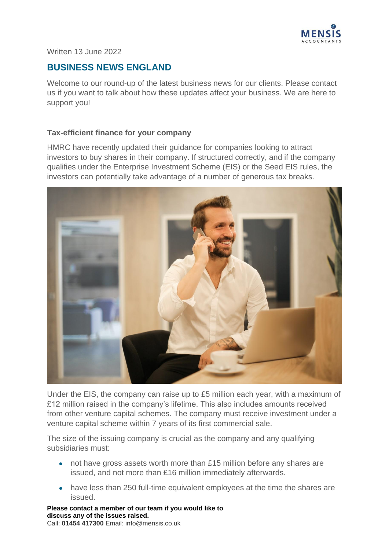

#### Written 13 June 2022

# **BUSINESS NEWS ENGLAND**

Welcome to our round-up of the latest business news for our clients. Please contact us if you want to talk about how these updates affect your business. We are here to support you!

### **Tax-efficient finance for your company**

HMRC have recently updated their guidance for companies looking to attract investors to buy shares in their company. If structured correctly, and if the company qualifies under the Enterprise Investment Scheme (EIS) or the Seed EIS rules, the investors can potentially take advantage of a number of generous tax breaks.



Under the EIS, the company can raise up to £5 million each year, with a maximum of £12 million raised in the company's lifetime. This also includes amounts received from other venture capital schemes. The company must receive investment under a venture capital scheme within 7 years of its first commercial sale.

The size of the issuing company is crucial as the company and any qualifying subsidiaries must:

- not have gross assets worth more than £15 million before any shares are issued, and not more than £16 million immediately afterwards.
- have less than 250 full-time equivalent employees at the time the shares are issued.

**Please contact a member of our team if you would like to discuss any of the issues raised.**  Call: **01454 417300** Email: info@mensis.co.uk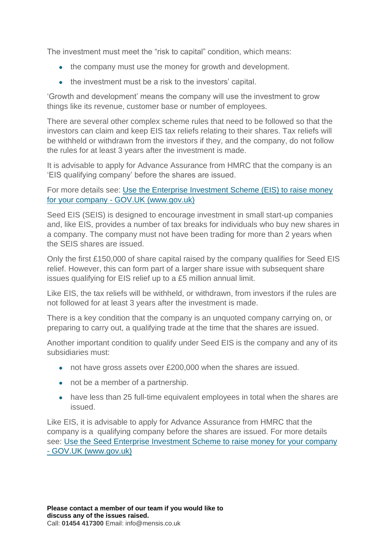The investment must meet the "risk to capital" condition, which means:

- the company must use the money for growth and development.
- the investment must be a risk to the investors' capital.

'Growth and development' means the company will use the investment to grow things like its revenue, customer base or number of employees.

There are several other complex scheme rules that need to be followed so that the investors can claim and keep EIS tax reliefs relating to their shares. Tax reliefs will be withheld or withdrawn from the investors if they, and the company, do not follow the rules for at least 3 years after the investment is made.

It is advisable to apply for Advance Assurance from HMRC that the company is an 'EIS qualifying company' before the shares are issued.

For more details see: [Use the Enterprise Investment Scheme \(EIS\) to raise money](https://www.gov.uk/guidance/venture-capital-schemes-apply-for-the-enterprise-investment-scheme)  for your company - [GOV.UK \(www.gov.uk\)](https://www.gov.uk/guidance/venture-capital-schemes-apply-for-the-enterprise-investment-scheme)

Seed EIS (SEIS) is designed to encourage investment in small start-up companies and, like EIS, provides a number of tax breaks for individuals who buy new shares in a company. The company must not have been trading for more than 2 years when the SEIS shares are issued.

Only the first £150,000 of share capital raised by the company qualifies for Seed EIS relief. However, this can form part of a larger share issue with subsequent share issues qualifying for EIS relief up to a £5 million annual limit.

Like EIS, the tax reliefs will be withheld, or withdrawn, from investors if the rules are not followed for at least 3 years after the investment is made.

There is a key condition that the company is an unquoted company carrying on, or preparing to carry out, a qualifying trade at the time that the shares are issued.

Another important condition to qualify under Seed EIS is the company and any of its subsidiaries must:

- not have gross assets over £200,000 when the shares are issued.
- not be a member of a partnership.
- have less than 25 full-time equivalent employees in total when the shares are issued.

Like EIS, it is advisable to apply for Advance Assurance from HMRC that the company is a qualifying company before the shares are issued. For more details see: [Use the Seed Enterprise Investment Scheme to raise money for your company](https://www.gov.uk/guidance/venture-capital-schemes-apply-to-use-the-seed-enterprise-investment-scheme)  - [GOV.UK \(www.gov.uk\)](https://www.gov.uk/guidance/venture-capital-schemes-apply-to-use-the-seed-enterprise-investment-scheme)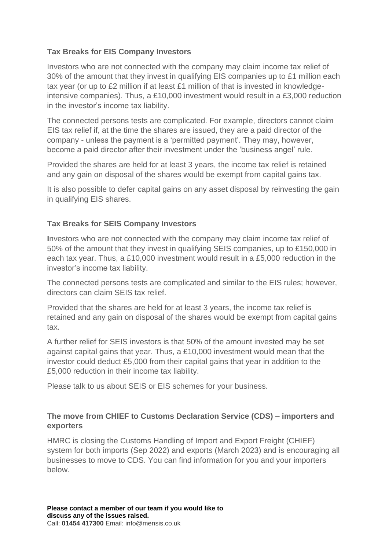## **Tax Breaks for EIS Company Investors**

Investors who are not connected with the company may claim income tax relief of 30% of the amount that they invest in qualifying EIS companies up to £1 million each tax year (or up to £2 million if at least £1 million of that is invested in knowledgeintensive companies). Thus, a £10,000 investment would result in a £3,000 reduction in the investor's income tax liability.

The connected persons tests are complicated. For example, directors cannot claim EIS tax relief if, at the time the shares are issued, they are a paid director of the company - unless the payment is a 'permitted payment'. They may, however, become a paid director after their investment under the 'business angel' rule.

Provided the shares are held for at least 3 years, the income tax relief is retained and any gain on disposal of the shares would be exempt from capital gains tax.

It is also possible to defer capital gains on any asset disposal by reinvesting the gain in qualifying EIS shares.

## **Tax Breaks for SEIS Company Investors**

**I**nvestors who are not connected with the company may claim income tax relief of 50% of the amount that they invest in qualifying SEIS companies, up to £150,000 in each tax year. Thus, a £10,000 investment would result in a £5,000 reduction in the investor's income tax liability.

The connected persons tests are complicated and similar to the EIS rules; however, directors can claim SEIS tax relief.

Provided that the shares are held for at least 3 years, the income tax relief is retained and any gain on disposal of the shares would be exempt from capital gains tax.

A further relief for SEIS investors is that 50% of the amount invested may be set against capital gains that year. Thus, a £10,000 investment would mean that the investor could deduct £5,000 from their capital gains that year in addition to the £5,000 reduction in their income tax liability.

Please talk to us about SEIS or EIS schemes for your business.

## **The move from CHIEF to Customs Declaration Service (CDS) – importers and exporters**

HMRC is closing the Customs Handling of Import and Export Freight (CHIEF) system for both imports (Sep 2022) and exports (March 2023) and is encouraging all businesses to move to CDS. You can find information for you and your importers below.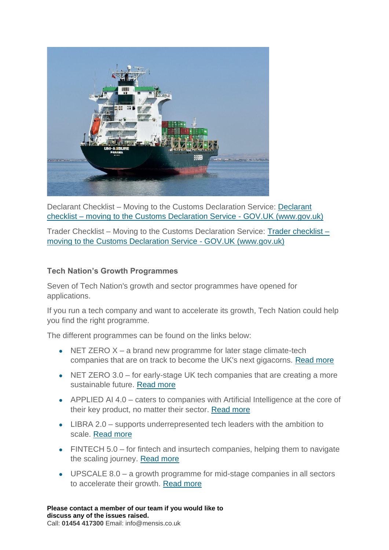

Declarant Checklist – Moving to the Customs Declaration Service: [Declarant](https://www.gov.uk/government/publications/customs-declaration-service-communication-pack/declarant-checklist-moving-to-the-customs-declaration-service)  checklist – [moving to the Customs Declaration Service -](https://www.gov.uk/government/publications/customs-declaration-service-communication-pack/declarant-checklist-moving-to-the-customs-declaration-service) GOV.UK (www.gov.uk)

Trader Checklist – Moving to the Customs Declaration Service: [Trader checklist –](https://www.gov.uk/government/publications/customs-declaration-service-communication-pack/trader-checklist-moving-to-the-customs-declaration-service) [moving to the Customs Declaration Service -](https://www.gov.uk/government/publications/customs-declaration-service-communication-pack/trader-checklist-moving-to-the-customs-declaration-service) GOV.UK (www.gov.uk)

### **Tech Nation's Growth Programmes**

Seven of Tech Nation's growth and sector programmes have opened for applications.

If you run a tech company and want to accelerate its growth, Tech Nation could help you find the right programme.

The different programmes can be found on the links below:

- NET ZERO  $X a$  brand new programme for later stage climate-tech companies that are on track to become the UK's next gigacorns. [Read more](https://technation.io/programmes/net-zero-x/?utm_campaign=MCO_21&utm_medium=email&_hsmi=213160483&_hsenc=p2ANqtz--ODPcajTc9Ffe2wwDuLtte4KwU5rmtuTvS_IYThA19_1KKpYpk3BPnvgzDIUGVYKGxyb3_zu7f6Q3FEdqkpxI0un58DQ&utm_content=213160483&utm_source=hs_email)
- $\bullet$  NET ZERO 3.0 for early-stage UK tech companies that are creating a more sustainable future. [Read more](https://technation.io/programmes/net-zero/?utm_campaign=MCO_21&utm_medium=email&_hsmi=213160483&_hsenc=p2ANqtz-_hteKVhxplikpx4TO4lJp4O2fMQPnJ7L_ZPIG-6uual4ln6_PfQVGiuIzsjaHcpfBCKRQ4ztpzoAdTvOoxL2g4CA8WsA&utm_content=213160483&utm_source=hs_email)
- APPLIED AI 4.0 caters to companies with Artificial Intelligence at the core of their key product, no matter their sector. Read more
- LIBRA 2.0 supports underrepresented tech leaders with the ambition to scale. [Read more](https://technation.io/programmes/libra/)
- $\bullet$  FINTECH 5.0 for fintech and insurtech companies, helping them to navigate the scaling journey. [Read more](https://technation.io/programmes/fintech/)
- $\bullet$  UPSCALE 8.0 a growth programme for mid-stage companies in all sectors to accelerate their growth. [Read more](https://technation.io/programmes/upscale/)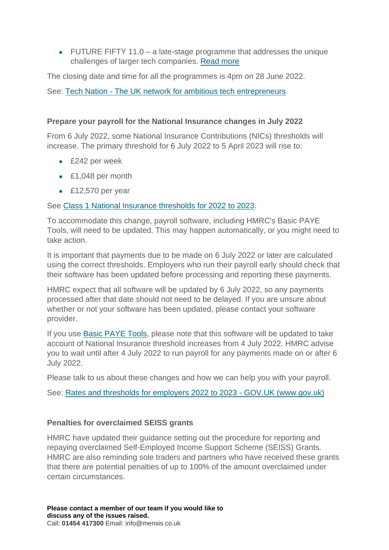• FUTURE FIFTY 11.0  $-$  a late-stage programme that addresses the unique challenges of larger tech companies. [Read more](https://technation.io/programmes/future-fifty/?utm_campaign=MCO_21&utm_medium=email&_hsmi=213160483&_hsenc=p2ANqtz-_O0Qscj_q4wS9O4T4Bfr7S07KbkBW3qizhHLqKyLAi4u_XQxidUeb8chy_5xhsD4PrKGMKzUP7bKzs5T5rVRZOCWL5yw&utm_content=213160483&utm_source=hs_email) 

The closing date and time for all the programmes is 4pm on 28 June 2022.

See: Tech Nation - [The UK network for ambitious tech entrepreneurs](https://technation.io/)

## **Prepare your payroll for the National Insurance changes in July 2022**

From 6 July 2022, some National Insurance Contributions (NICs) thresholds will increase. The primary threshold for 6 July 2022 to 5 April 2023 will rise to:

- $\epsilon$  £242 per week
- £1,048 per month
- $\epsilon$  £12,570 per year

See [Class 1 National Insurance thresholds for 2022 to 2023.](https://www.gov.uk/guidance/rates-and-thresholds-for-employers-2022-to-2023#class-1-national-insurance-thresholds)

To accommodate this change, payroll software, including HMRC's Basic PAYE Tools, will need to be updated. This may happen automatically, or you might need to take action.

It is important that payments due to be made on 6 July 2022 or later are calculated using the correct thresholds. Employers who run their payroll early should check that their software has been updated before processing and reporting these payments.

HMRC expect that all software will be updated by 6 July 2022, so any payments processed after that date should not need to be delayed. If you are unsure about whether or not your software has been updated, please contact your software provider.

If you use [Basic PAYE Tools,](https://www.gov.uk/basic-paye-tools) please note that this software will be updated to take account of National Insurance threshold increases from 4 July 2022. HMRC advise you to wait until after 4 July 2022 to run payroll for any payments made on or after 6 July 2022.

Please talk to us about these changes and how we can help you with your payroll.

See: [Rates and thresholds for employers 2022 to 2023 -](https://www.gov.uk/guidance/rates-and-thresholds-for-employers-2022-to-2023#class-1-national-insurance-thresholds) GOV.UK (www.gov.uk)

## **Penalties for overclaimed SEISS grants**

HMRC have updated their guidance setting out the procedure for reporting and repaying overclaimed Self-Employed Income Support Scheme (SEISS) Grants. HMRC are also reminding sole traders and partners who have received these grants that there are potential penalties of up to 100% of the amount overclaimed under certain circumstances.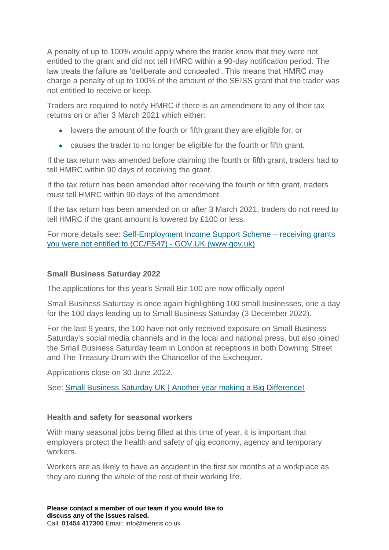A penalty of up to 100% would apply where the trader knew that they were not entitled to the grant and did not tell HMRC within a 90-day notification period. The law treats the failure as 'deliberate and concealed'. This means that HMRC may charge a penalty of up to 100% of the amount of the SEISS grant that the trader was not entitled to receive or keep.

Traders are required to notify HMRC if there is an amendment to any of their tax returns on or after 3 March 2021 which either:

- lowers the amount of the fourth or fifth grant they are eligible for; or
- causes the trader to no longer be eligible for the fourth or fifth grant.

If the tax return was amended before claiming the fourth or fifth grant, traders had to tell HMRC within 90 days of receiving the grant.

If the tax return has been amended after receiving the fourth or fifth grant, traders must tell HMRC within 90 days of the amendment.

If the tax return has been amended on or after 3 March 2021, traders do not need to tell HMRC if the grant amount is lowered by £100 or less.

For more details see: [Self-Employment Income Support Scheme –](https://www.gov.uk/government/publications/penalties-for-not-telling-hmrc-about-self-employment-income-support-scheme-grant-overpayments-ccfs47/self-employment-income-support-scheme-receiving-grants-you-were-not-entitled-to-ccfs47#penalty-for-not-telling-us-about-the-income-tax-charge) receiving grants [you were not entitled to \(CC/FS47\) -](https://www.gov.uk/government/publications/penalties-for-not-telling-hmrc-about-self-employment-income-support-scheme-grant-overpayments-ccfs47/self-employment-income-support-scheme-receiving-grants-you-were-not-entitled-to-ccfs47#penalty-for-not-telling-us-about-the-income-tax-charge) GOV.UK (www.gov.uk)

### **Small Business Saturday 2022**

The applications for this year's Small Biz 100 are now officially open!

Small Business Saturday is once again highlighting 100 small businesses, one a day for the 100 days leading up to Small Business Saturday (3 December 2022).

For the last 9 years, the 100 have not only received exposure on Small Business Saturday's social media channels and in the local and national press, but also joined the Small Business Saturday team in London at receptions in both Downing Street and The Treasury Drum with the Chancellor of the Exchequer.

Applications close on 30 June 2022.

See: [Small Business Saturday UK | Another year making a Big Difference!](https://smallbusinesssaturdayuk.com/small-biz-100)

### **Health and safety for seasonal workers**

With many seasonal jobs being filled at this time of year, it is important that employers protect the health and safety of gig economy, agency and temporary workers.

Workers are as likely to have an accident in the first six months at a workplace as they are during the whole of the rest of their working life.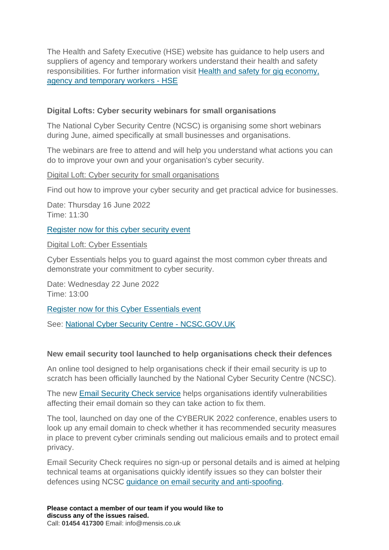The Health and Safety Executive (HSE) website has guidance to help users and suppliers of agency and temporary workers understand their health and safety responsibilities. For further information visit Health and [safety for gig economy,](https://www.hse.gov.uk/vulnerable-workers/gig-agency-temporary-workers/index.htm?utm_source=govdelivery&utm_medium=email&utm_campaign=guidance-push&utm_term=seasonal-1&utm_content=digest-26-may-22)  [agency and temporary workers -](https://www.hse.gov.uk/vulnerable-workers/gig-agency-temporary-workers/index.htm?utm_source=govdelivery&utm_medium=email&utm_campaign=guidance-push&utm_term=seasonal-1&utm_content=digest-26-may-22) HSE

### **Digital Lofts: Cyber security webinars for small organisations**

The National Cyber Security Centre (NCSC) is organising some short webinars during June, aimed specifically at small businesses and organisations.

The webinars are free to attend and will help you understand what actions you can do to improve your own and your organisation's cyber security.

### Digital Loft: Cyber security for small organisations

Find out how to improve your cyber security and get practical advice for businesses.

Date: Thursday 16 June 2022 Time: 11:30

[Register now for this cyber security event](https://ncsc-production.microsoftcrmportals.com/event/sessions?id=Digital_Loft_Template3613648229)

Digital Loft: Cyber Essentials

Cyber Essentials helps you to guard against the most common cyber threats and demonstrate your commitment to cyber security.

Date: Wednesday 22 June 2022 Time: 13:00

[Register now for this Cyber Essentials event](https://ncsc-production.microsoftcrmportals.com/event/sessions?id=Digital_Loft_Template137243227)

See: [National Cyber Security Centre -](https://www.ncsc.gov.uk/) NCSC.GOV.UK

### **New email security tool launched to help organisations check their defences**

An online tool designed to help organisations check if their email security is up to scratch has been officially launched by the National Cyber Security Centre (NCSC).

The new [Email Security Check service](https://emailsecuritycheck.service.ncsc.gov.uk/) helps organisations identify vulnerabilities affecting their email domain so they can take action to fix them.

The tool, launched on day one of the CYBERUK 2022 conference, enables users to look up any email domain to check whether it has recommended security measures in place to prevent cyber criminals sending out malicious emails and to protect email privacy.

Email Security Check requires no sign-up or personal details and is aimed at helping technical teams at organisations quickly identify issues so they can bolster their defences using NCSC guidance [on email security and anti-spoofing.](https://www.ncsc.gov.uk/collection/email-security-and-anti-spoofing)